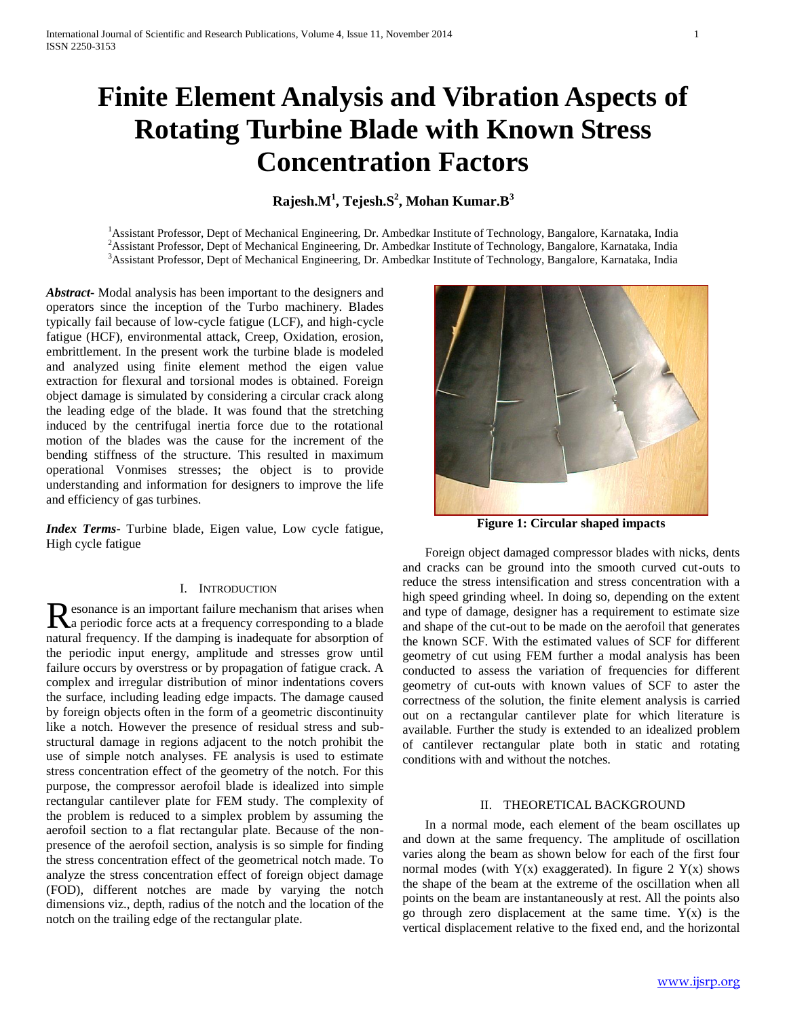# **Finite Element Analysis and Vibration Aspects of Rotating Turbine Blade with Known Stress Concentration Factors**

# **Rajesh.M<sup>1</sup> , Tejesh.S<sup>2</sup> , Mohan Kumar.B<sup>3</sup>**

<sup>1</sup>Assistant Professor, Dept of Mechanical Engineering, Dr. Ambedkar Institute of Technology, Bangalore, Karnataka, India  $2$ Assistant Professor, Dept of Mechanical Engineering, Dr. Ambedkar Institute of Technology, Bangalore, Karnataka, India <sup>3</sup>Assistant Professor, Dept of Mechanical Engineering, Dr. Ambedkar Institute of Technology, Bangalore, Karnataka, India

*Abstract***-** Modal analysis has been important to the designers and operators since the inception of the Turbo machinery. Blades typically fail because of low-cycle fatigue (LCF), and high-cycle fatigue (HCF), environmental attack, Creep, Oxidation, erosion, embrittlement. In the present work the turbine blade is modeled and analyzed using finite element method the eigen value extraction for flexural and torsional modes is obtained. Foreign object damage is simulated by considering a circular crack along the leading edge of the blade. It was found that the stretching induced by the centrifugal inertia force due to the rotational motion of the blades was the cause for the increment of the bending stiffness of the structure. This resulted in maximum operational Vonmises stresses; the object is to provide understanding and information for designers to improve the life and efficiency of gas turbines.

*Index Terms*- Turbine blade, Eigen value, Low cycle fatigue, High cycle fatigue

# I. INTRODUCTION

sonance is an important failure mechanism that arises when Resonance is an important failure mechanism that arises when<br>A a periodic force acts at a frequency corresponding to a blade natural frequency. If the damping is inadequate for absorption of the periodic input energy, amplitude and stresses grow until failure occurs by overstress or by propagation of fatigue crack. A complex and irregular distribution of minor indentations covers the surface, including leading edge impacts. The damage caused by foreign objects often in the form of a geometric discontinuity like a notch. However the presence of residual stress and substructural damage in regions adjacent to the notch prohibit the use of simple notch analyses. FE analysis is used to estimate stress concentration effect of the geometry of the notch. For this purpose, the compressor aerofoil blade is idealized into simple rectangular cantilever plate for FEM study. The complexity of the problem is reduced to a simplex problem by assuming the aerofoil section to a flat rectangular plate. Because of the nonpresence of the aerofoil section, analysis is so simple for finding the stress concentration effect of the geometrical notch made. To analyze the stress concentration effect of foreign object damage (FOD), different notches are made by varying the notch dimensions viz., depth, radius of the notch and the location of the notch on the trailing edge of the rectangular plate.



**Figure 1: Circular shaped impacts**

 Foreign object damaged compressor blades with nicks, dents and cracks can be ground into the smooth curved cut-outs to reduce the stress intensification and stress concentration with a high speed grinding wheel. In doing so, depending on the extent and type of damage, designer has a requirement to estimate size and shape of the cut-out to be made on the aerofoil that generates the known SCF. With the estimated values of SCF for different geometry of cut using FEM further a modal analysis has been conducted to assess the variation of frequencies for different geometry of cut-outs with known values of SCF to aster the correctness of the solution, the finite element analysis is carried out on a rectangular cantilever plate for which literature is available. Further the study is extended to an idealized problem of cantilever rectangular plate both in static and rotating conditions with and without the notches.

## II. THEORETICAL BACKGROUND

 In a normal mode, each element of the beam oscillates up and down at the same frequency. The amplitude of oscillation varies along the beam as shown below for each of the first four normal modes (with  $Y(x)$  exaggerated). In figure 2  $Y(x)$  shows the shape of the beam at the extreme of the oscillation when all points on the beam are instantaneously at rest. All the points also go through zero displacement at the same time.  $Y(x)$  is the vertical displacement relative to the fixed end, and the horizontal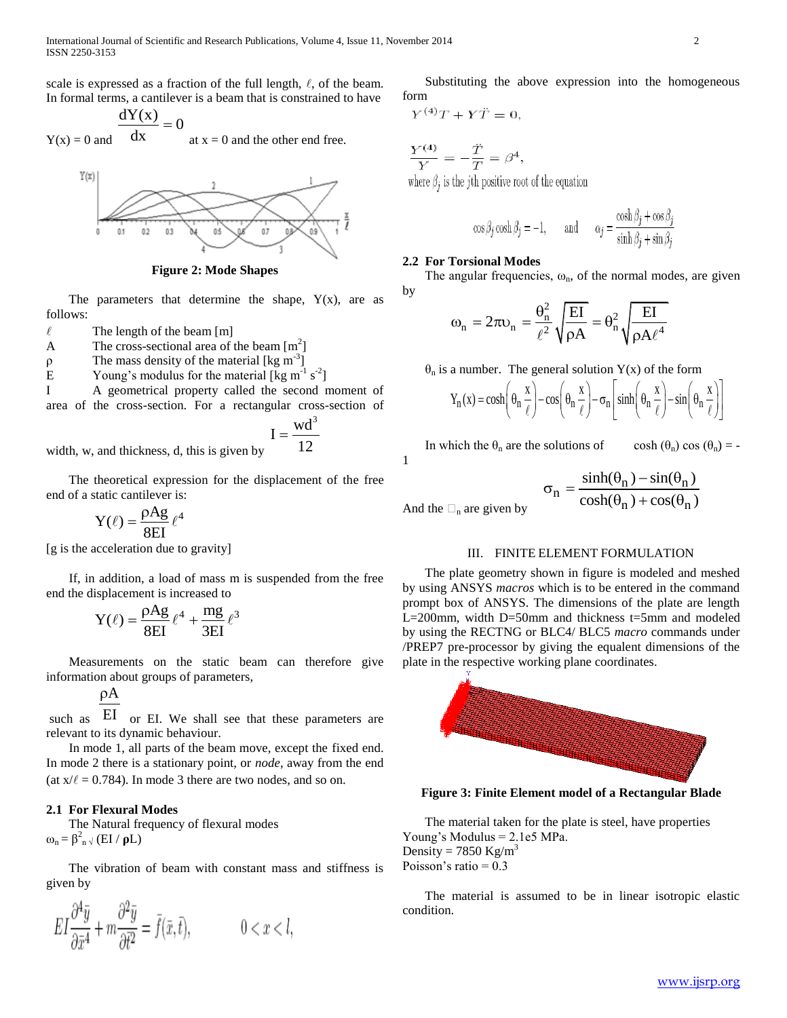scale is expressed as a fraction of the full length,  $\ell$ , of the beam. In formal terms, a cantilever is a beam that is constrained to have

$$
Y(x) = 0 \text{ and } \frac{dY(x)}{dx} = 0
$$
 at x = 0 and the other end free.



**Figure 2: Mode Shapes**

The parameters that determine the shape,  $Y(x)$ , are as follows:

 $\ell$  The length of the beam [m]

A The cross-sectional area of the beam  $[m^2]$ 

 $ρ$  The mass density of the material [kg m<sup>-3</sup>]

E Young's modulus for the material  $\lceil \text{kg m}^{-1} \text{ s}^{-2} \rceil$ 

I A geometrical property called the second moment of area of the cross-section. For a rectangular cross-section of

$$
I = \frac{wd^3}{12}
$$

width, w, and thickness, d, this is given by

 The theoretical expression for the displacement of the free end of a static cantilever is:

$$
Y(\ell) = \frac{\rho Ag}{8EI} \ell^4
$$

[g is the acceleration due to gravity]

If, in addition, a load of mass m is suspended from the free

end the displacement is increased to  
\n
$$
Y(\ell) = \frac{\rho Ag}{8EI} \ell^4 + \frac{mg}{3EI} \ell^3
$$

 Measurements on the static beam can therefore give information about groups of parameters,

$$
\frac{\rho A}{\sqrt{2\pi}}
$$

such as EI or EI. We shall see that these parameters are relevant to its dynamic behaviour.

 In mode 1, all parts of the beam move, except the fixed end. In mode 2 there is a stationary point, or *node*, away from the end (at  $x/\ell = 0.784$ ). In mode 3 there are two nodes, and so on.

# **2.1 For Flexural Modes**

 The Natural frequency of flexural modes  $\omega_n = \beta_{n}^2 \sqrt{\left(\frac{\mu}{\rho}\right)^2}$ 

 The vibration of beam with constant mass and stiffness is given by

$$
EI\frac{\partial^4 \bar{y}}{\partial \bar{x}^4} + m\frac{\partial^2 \bar{y}}{\partial \bar{t}^2} = \bar{f}(\bar{x}, \bar{t}), \qquad 0 < x < l,
$$

 Substituting the above expression into the homogeneous form

$$
Y^{(4)}T + Y\ddot{T} = 0,
$$

$$
\frac{Y^{(4)}}{Y} = -\frac{\ddot{T}}{T} = \beta^4,
$$
  
where  $\beta_i$  is the *i*th positive root of the equation

$$
\cos \beta_j \cosh \beta_j = -1
$$
, and  $\alpha_j = \frac{\cosh \beta_j + \cos \beta_j}{\sinh \beta_j + \sin \beta_j}$ 

### **2.2 For Torsional Modes**

The angular frequencies,  $\omega_n$ , of the normal modes, are given by

$$
\omega_n = 2\pi \upsilon_n = \frac{\theta_n^2}{\ell^2} \sqrt{\frac{EI}{\rho A}} = \theta_n^2 \sqrt{\frac{EI}{\rho A \ell^4}}
$$

$$
\theta_n
$$
 is a number. The general solution  $Y(x)$  of the form  
\n
$$
Y_n(x) = \cosh\left(\theta_n \frac{x}{\ell}\right) - \cos\left(\theta_n \frac{x}{\ell}\right) - \sigma_n \left[\sinh\left(\theta_n \frac{x}{\ell}\right) - \sin\left(\theta_n \frac{x}{\ell}\right)\right]
$$

In which the  $\theta_n$  are the solutions of cosh  $(\theta_n)$  cos  $(\theta_n)$  = -

$$
\sigma_n = \frac{\sinh(\theta_n) - \sin(\theta_n)}{\cosh(\theta_n) + \cos(\theta_n)}
$$

And the  $\Box_n$  are given by

1

#### III. FINITE ELEMENT FORMULATION

 The plate geometry shown in figure is modeled and meshed by using ANSYS *macros* which is to be entered in the command prompt box of ANSYS. The dimensions of the plate are length L=200mm, width D=50mm and thickness t=5mm and modeled by using the RECTNG or BLC4/ BLC5 *macro* commands under /PREP7 pre-processor by giving the equalent dimensions of the plate in the respective working plane coordinates.



**Figure 3: Finite Element model of a Rectangular Blade**

 The material taken for the plate is steel, have properties Young's Modulus = 2.1e5 MPa. Density = 7850 Kg/m<sup>3</sup> Poisson's ratio  $= 0.3$ 

 The material is assumed to be in linear isotropic elastic condition.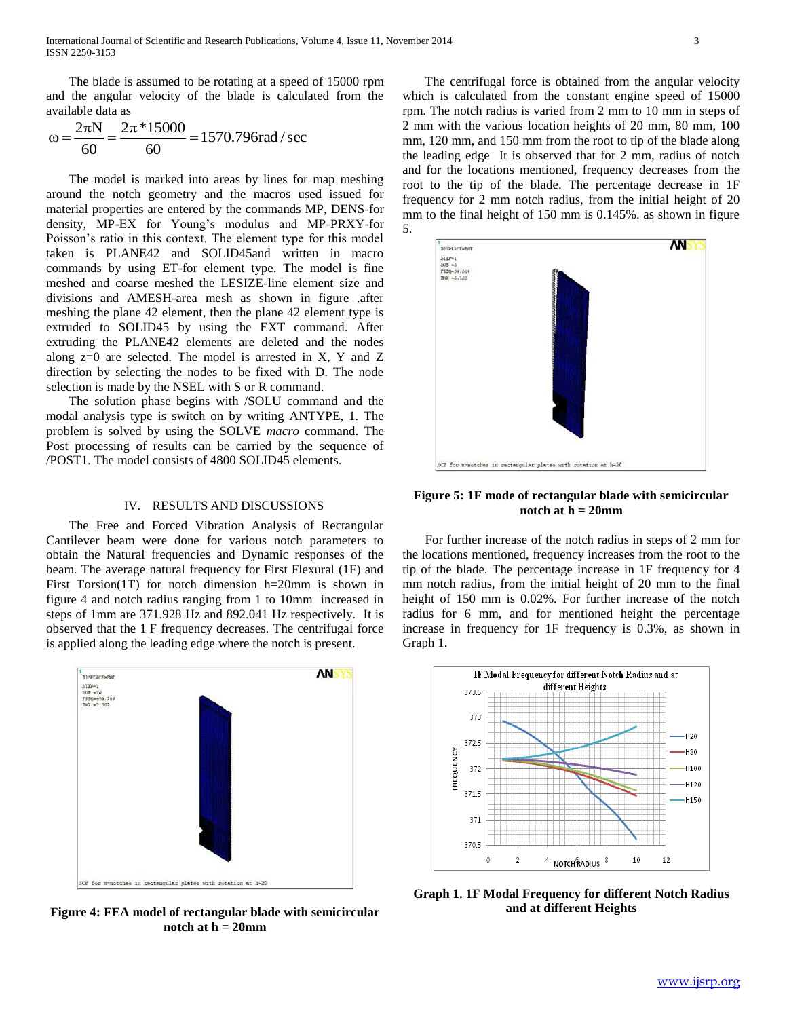The blade is assumed to be rotating at a speed of 15000 rpm and the angular velocity of the blade is calculated from the available data as

$$
\omega = \frac{2\pi N}{60} = \frac{2\pi * 15000}{60} = 1570.796 \text{rad} / \text{sec}
$$

 The model is marked into areas by lines for map meshing around the notch geometry and the macros used issued for material properties are entered by the commands MP, DENS-for density, MP-EX for Young's modulus and MP-PRXY-for Poisson's ratio in this context. The element type for this model taken is PLANE42 and SOLID45and written in macro commands by using ET-for element type. The model is fine meshed and coarse meshed the LESIZE-line element size and divisions and AMESH-area mesh as shown in figure .after meshing the plane 42 element, then the plane 42 element type is extruded to SOLID45 by using the EXT command. After extruding the PLANE42 elements are deleted and the nodes along z=0 are selected. The model is arrested in X, Y and Z direction by selecting the nodes to be fixed with D. The node selection is made by the NSEL with S or R command.

 The solution phase begins with /SOLU command and the modal analysis type is switch on by writing ANTYPE, 1. The problem is solved by using the SOLVE *macro* command. The Post processing of results can be carried by the sequence of /POST1. The model consists of 4800 SOLID45 elements.

#### IV. RESULTS AND DISCUSSIONS

 The Free and Forced Vibration Analysis of Rectangular Cantilever beam were done for various notch parameters to obtain the Natural frequencies and Dynamic responses of the beam. The average natural frequency for First Flexural (1F) and First Torsion(1T) for notch dimension h=20mm is shown in figure 4 and notch radius ranging from 1 to 10mm increased in steps of 1mm are 371.928 Hz and 892.041 Hz respectively. It is observed that the 1 F frequency decreases. The centrifugal force is applied along the leading edge where the notch is present.



**Figure 4: FEA model of rectangular blade with semicircular notch at h = 20mm**

 The centrifugal force is obtained from the angular velocity which is calculated from the constant engine speed of 15000 rpm. The notch radius is varied from 2 mm to 10 mm in steps of 2 mm with the various location heights of 20 mm, 80 mm, 100 mm, 120 mm, and 150 mm from the root to tip of the blade along the leading edge It is observed that for 2 mm, radius of notch and for the locations mentioned, frequency decreases from the root to the tip of the blade. The percentage decrease in 1F frequency for 2 mm notch radius, from the initial height of 20 mm to the final height of 150 mm is 0.145%. as shown in figure 5.



**Figure 5: 1F mode of rectangular blade with semicircular notch at h = 20mm**

 For further increase of the notch radius in steps of 2 mm for the locations mentioned, frequency increases from the root to the tip of the blade. The percentage increase in 1F frequency for 4 mm notch radius, from the initial height of 20 mm to the final height of 150 mm is 0.02%. For further increase of the notch radius for 6 mm, and for mentioned height the percentage increase in frequency for 1F frequency is 0.3%, as shown in Graph 1.



**Graph 1. 1F Modal Frequency for different Notch Radius and at different Heights**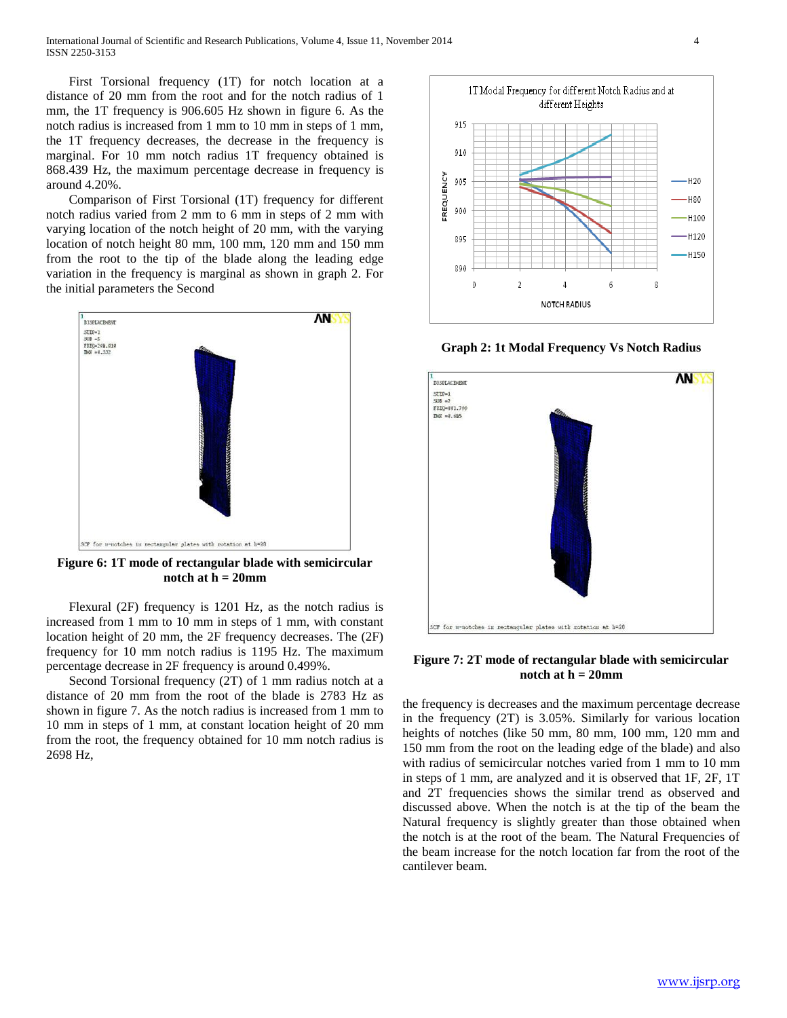First Torsional frequency (1T) for notch location at a distance of 20 mm from the root and for the notch radius of 1 mm, the 1T frequency is 906.605 Hz shown in figure 6. As the notch radius is increased from 1 mm to 10 mm in steps of 1 mm, the 1T frequency decreases, the decrease in the frequency is marginal. For 10 mm notch radius 1T frequency obtained is 868.439 Hz, the maximum percentage decrease in frequency is around 4.20%.

 Comparison of First Torsional (1T) frequency for different notch radius varied from 2 mm to 6 mm in steps of 2 mm with varying location of the notch height of 20 mm, with the varying location of notch height 80 mm, 100 mm, 120 mm and 150 mm from the root to the tip of the blade along the leading edge variation in the frequency is marginal as shown in graph 2. For the initial parameters the Second



**Figure 6: 1T mode of rectangular blade with semicircular notch at h = 20mm**

 Flexural (2F) frequency is 1201 Hz, as the notch radius is increased from 1 mm to 10 mm in steps of 1 mm, with constant location height of 20 mm, the 2F frequency decreases. The (2F) frequency for 10 mm notch radius is 1195 Hz. The maximum percentage decrease in 2F frequency is around 0.499%.

 Second Torsional frequency (2T) of 1 mm radius notch at a distance of 20 mm from the root of the blade is 2783 Hz as shown in figure 7. As the notch radius is increased from 1 mm to 10 mm in steps of 1 mm, at constant location height of 20 mm from the root, the frequency obtained for 10 mm notch radius is 2698 Hz,



**Graph 2: 1t Modal Frequency Vs Notch Radius**



**Figure 7: 2T mode of rectangular blade with semicircular notch at h = 20mm**

the frequency is decreases and the maximum percentage decrease in the frequency (2T) is 3.05%. Similarly for various location heights of notches (like 50 mm, 80 mm, 100 mm, 120 mm and 150 mm from the root on the leading edge of the blade) and also with radius of semicircular notches varied from 1 mm to 10 mm in steps of 1 mm, are analyzed and it is observed that 1F, 2F, 1T and 2T frequencies shows the similar trend as observed and discussed above. When the notch is at the tip of the beam the Natural frequency is slightly greater than those obtained when the notch is at the root of the beam. The Natural Frequencies of the beam increase for the notch location far from the root of the cantilever beam.